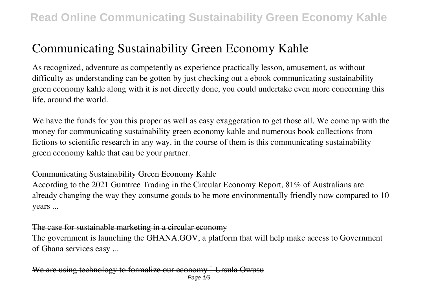# **Communicating Sustainability Green Economy Kahle**

As recognized, adventure as competently as experience practically lesson, amusement, as without difficulty as understanding can be gotten by just checking out a ebook **communicating sustainability green economy kahle** along with it is not directly done, you could undertake even more concerning this life, around the world.

We have the funds for you this proper as well as easy exaggeration to get those all. We come up with the money for communicating sustainability green economy kahle and numerous book collections from fictions to scientific research in any way. in the course of them is this communicating sustainability green economy kahle that can be your partner.

### Communicating Sustainability Green Economy Kahle

According to the 2021 Gumtree Trading in the Circular Economy Report, 81% of Australians are already changing the way they consume goods to be more environmentally friendly now compared to 10 years ...

### The case for sustainable marketing in a circular economy

The government is launching the GHANA.GOV, a platform that will help make access to Government of Ghana services easy ...

We are using technology to formalize our economy I Ursula Owusu Page 1/9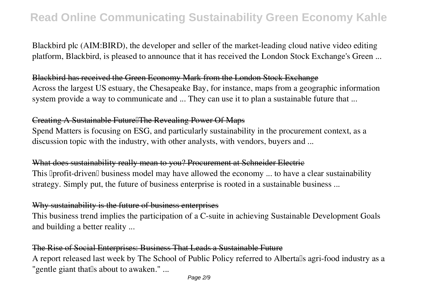Blackbird plc (AIM:BIRD), the developer and seller of the market-leading cloud native video editing platform, Blackbird, is pleased to announce that it has received the London Stock Exchange's Green ...

#### Blackbird has received the Green Economy Mark from the London Stock Exchange

Across the largest US estuary, the Chesapeake Bay, for instance, maps from a geographic information system provide a way to communicate and ... They can use it to plan a sustainable future that ...

#### Creating A Sustainable Future The Revealing Power Of Maps

Spend Matters is focusing on ESG, and particularly sustainability in the procurement context, as a discussion topic with the industry, with other analysts, with vendors, buyers and ...

#### What does sustainability really mean to you? Procurement at Schneider Electric

This  $\Delta$  profit-driven business model may have allowed the economy ... to have a clear sustainability strategy. Simply put, the future of business enterprise is rooted in a sustainable business ...

### Why sustainability is the future of business enterprises

This business trend implies the participation of a C-suite in achieving Sustainable Development Goals and building a better reality ...

### The Rise of Social Enterprises: Business That Leads a Sustainable Future

A report released last week by The School of Public Policy referred to Albertalls agri-food industry as a "gentle giant that<sup>[]</sup>s about to awaken." ...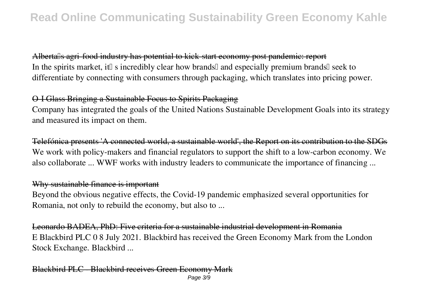Alberta<sup>ll</sup>s agri-food industry has potential to kick-start economy post pandemic: report In the spirits market, it<sup> $\parallel$ </sup> s incredibly clear how brands $\parallel$  and especially premium brands $\parallel$  seek to differentiate by connecting with consumers through packaging, which translates into pricing power.

### O-I Glass Bringing a Sustainable Focus to Spirits Packaging

Company has integrated the goals of the United Nations Sustainable Development Goals into its strategy and measured its impact on them.

Telefónica presents 'A connected world, a sustainable world', the Report on its contribution to the SDGs We work with policy-makers and financial regulators to support the shift to a low-carbon economy. We also collaborate ... WWF works with industry leaders to communicate the importance of financing ...

#### Why sustainable finance is important

Beyond the obvious negative effects, the Covid-19 pandemic emphasized several opportunities for Romania, not only to rebuild the economy, but also to ...

Leonardo BADEA, PhD: Five criteria for a sustainable industrial development in Romania E Blackbird PLC 0 8 July 2021. Blackbird has received the Green Economy Mark from the London Stock Exchange. Blackbird ...

### Blackbird PLC - Blackbird receives Green Economy Mark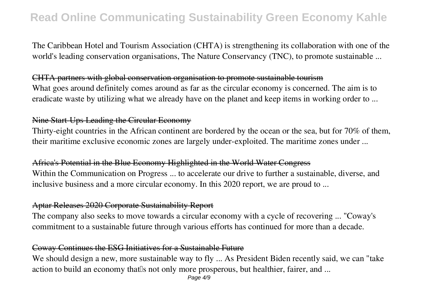The Caribbean Hotel and Tourism Association (CHTA) is strengthening its collaboration with one of the world's leading conservation organisations, The Nature Conservancy (TNC), to promote sustainable ...

CHTA partners with global conservation organisation to promote sustainable tourism What goes around definitely comes around as far as the circular economy is concerned. The aim is to eradicate waste by utilizing what we already have on the planet and keep items in working order to ...

#### Nine Start-Ups Leading the Circular Economy

Thirty-eight countries in the African continent are bordered by the ocean or the sea, but for 70% of them, their maritime exclusive economic zones are largely under-exploited. The maritime zones under ...

#### Africa's Potential in the Blue Economy Highlighted in the World Water Congress

Within the Communication on Progress ... to accelerate our drive to further a sustainable, diverse, and inclusive business and a more circular economy. In this 2020 report, we are proud to ...

#### Aptar Releases 2020 Corporate Sustainability Report

The company also seeks to move towards a circular economy with a cycle of recovering ... "Coway's commitment to a sustainable future through various efforts has continued for more than a decade.

### Coway Continues the ESG Initiatives for a Sustainable Future

We should design a new, more sustainable way to fly ... As President Biden recently said, we can "take" action to build an economy that is not only more prosperous, but healthier, fairer, and ...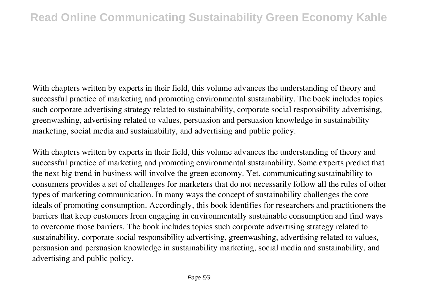With chapters written by experts in their field, this volume advances the understanding of theory and successful practice of marketing and promoting environmental sustainability. The book includes topics such corporate advertising strategy related to sustainability, corporate social responsibility advertising, greenwashing, advertising related to values, persuasion and persuasion knowledge in sustainability marketing, social media and sustainability, and advertising and public policy.

With chapters written by experts in their field, this volume advances the understanding of theory and successful practice of marketing and promoting environmental sustainability. Some experts predict that the next big trend in business will involve the green economy. Yet, communicating sustainability to consumers provides a set of challenges for marketers that do not necessarily follow all the rules of other types of marketing communication. In many ways the concept of sustainability challenges the core ideals of promoting consumption. Accordingly, this book identifies for researchers and practitioners the barriers that keep customers from engaging in environmentally sustainable consumption and find ways to overcome those barriers. The book includes topics such corporate advertising strategy related to sustainability, corporate social responsibility advertising, greenwashing, advertising related to values, persuasion and persuasion knowledge in sustainability marketing, social media and sustainability, and advertising and public policy.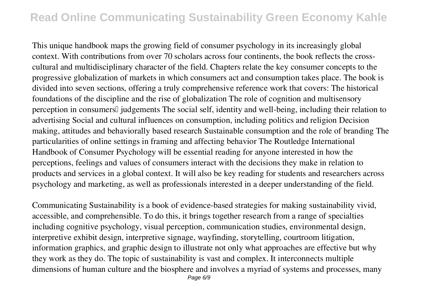This unique handbook maps the growing field of consumer psychology in its increasingly global context. With contributions from over 70 scholars across four continents, the book reflects the crosscultural and multidisciplinary character of the field. Chapters relate the key consumer concepts to the progressive globalization of markets in which consumers act and consumption takes place. The book is divided into seven sections, offering a truly comprehensive reference work that covers: The historical foundations of the discipline and the rise of globalization The role of cognition and multisensory perception in consumers<sup>[]</sup> judgements The social self, identity and well-being, including their relation to advertising Social and cultural influences on consumption, including politics and religion Decision making, attitudes and behaviorally based research Sustainable consumption and the role of branding The particularities of online settings in framing and affecting behavior The Routledge International Handbook of Consumer Psychology will be essential reading for anyone interested in how the perceptions, feelings and values of consumers interact with the decisions they make in relation to products and services in a global context. It will also be key reading for students and researchers across psychology and marketing, as well as professionals interested in a deeper understanding of the field.

Communicating Sustainability is a book of evidence-based strategies for making sustainability vivid, accessible, and comprehensible. To do this, it brings together research from a range of specialties including cognitive psychology, visual perception, communication studies, environmental design, interpretive exhibit design, interpretive signage, wayfinding, storytelling, courtroom litigation, information graphics, and graphic design to illustrate not only what approaches are effective but why they work as they do. The topic of sustainability is vast and complex. It interconnects multiple dimensions of human culture and the biosphere and involves a myriad of systems and processes, many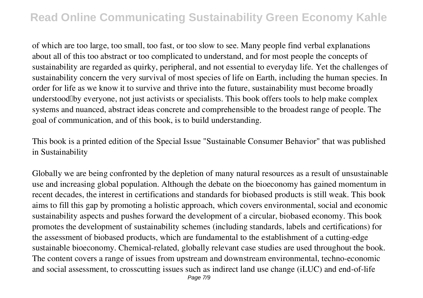of which are too large, too small, too fast, or too slow to see. Many people find verbal explanations about all of this too abstract or too complicated to understand, and for most people the concepts of sustainability are regarded as quirky, peripheral, and not essential to everyday life. Yet the challenges of sustainability concern the very survival of most species of life on Earth, including the human species. In order for life as we know it to survive and thrive into the future, sustainability must become broadly understood up everyone, not just activists or specialists. This book offers tools to help make complex systems and nuanced, abstract ideas concrete and comprehensible to the broadest range of people. The goal of communication, and of this book, is to build understanding.

This book is a printed edition of the Special Issue "Sustainable Consumer Behavior" that was published in Sustainability

Globally we are being confronted by the depletion of many natural resources as a result of unsustainable use and increasing global population. Although the debate on the bioeconomy has gained momentum in recent decades, the interest in certifications and standards for biobased products is still weak. This book aims to fill this gap by promoting a holistic approach, which covers environmental, social and economic sustainability aspects and pushes forward the development of a circular, biobased economy. This book promotes the development of sustainability schemes (including standards, labels and certifications) for the assessment of biobased products, which are fundamental to the establishment of a cutting-edge sustainable bioeconomy. Chemical-related, globally relevant case studies are used throughout the book. The content covers a range of issues from upstream and downstream environmental, techno-economic and social assessment, to crosscutting issues such as indirect land use change (iLUC) and end-of-life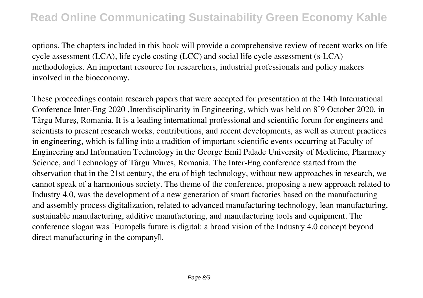options. The chapters included in this book will provide a comprehensive review of recent works on life cycle assessment (LCA), life cycle costing (LCC) and social life cycle assessment (s-LCA) methodologies. An important resource for researchers, industrial professionals and policy makers involved in the bioeconomy.

These proceedings contain research papers that were accepted for presentation at the 14th International Conference Inter-Eng 2020 ,Interdisciplinarity in Engineering, which was held on 8<sup>[1]</sup> October 2020, in Târgu Mureș, Romania. It is a leading international professional and scientific forum for engineers and scientists to present research works, contributions, and recent developments, as well as current practices in engineering, which is falling into a tradition of important scientific events occurring at Faculty of Engineering and Information Technology in the George Emil Palade University of Medicine, Pharmacy Science, and Technology of Târgu Mures, Romania. The Inter-Eng conference started from the observation that in the 21st century, the era of high technology, without new approaches in research, we cannot speak of a harmonious society. The theme of the conference, proposing a new approach related to Industry 4.0, was the development of a new generation of smart factories based on the manufacturing and assembly process digitalization, related to advanced manufacturing technology, lean manufacturing, sustainable manufacturing, additive manufacturing, and manufacturing tools and equipment. The conference slogan was **IEurope**ls future is digital: a broad vision of the Industry 4.0 concept beyond direct manufacturing in the company.